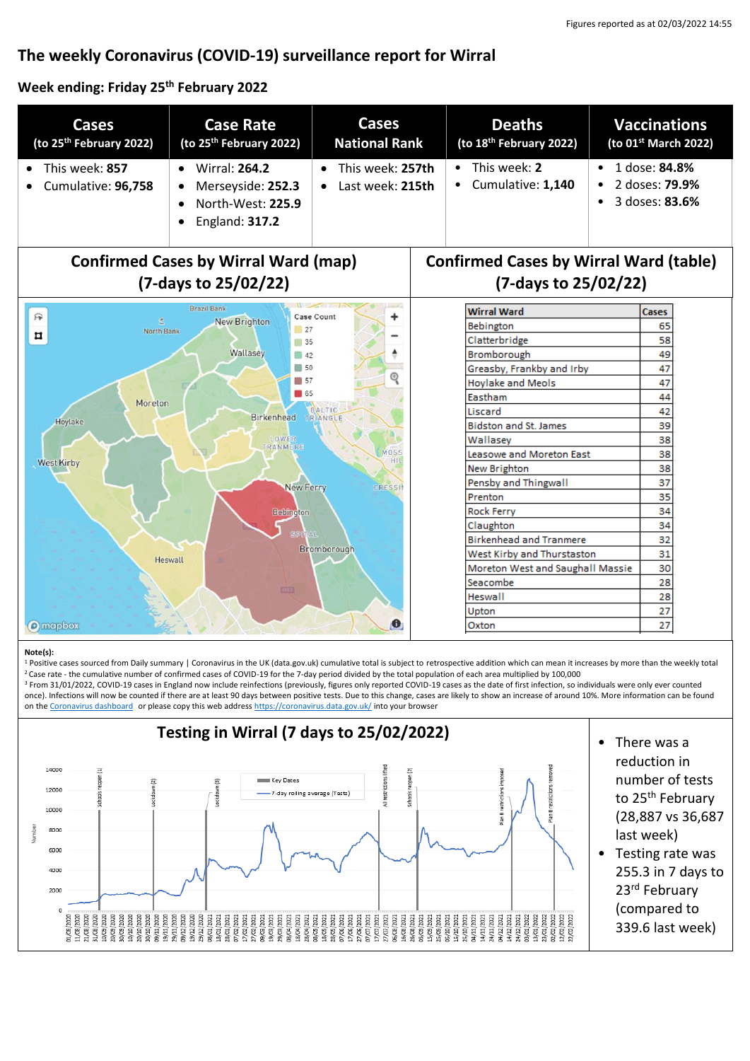# **The weekly Coronavirus (COVID-19) surveillance report for Wirral**

#### **Week ending: Friday 25th February 2022**

| <b>Cases</b><br>(to 25 <sup>th</sup> February 2022)                                                                                                                                                                                                | <b>Case Rate</b><br>(to 25 <sup>th</sup> February 2022)                                                    | <b>Cases</b><br><b>National Rank</b> | <b>Deaths</b><br>(to 18 <sup>th</sup> February 2022) | <b>Vaccinations</b><br>(to 01 <sup>st</sup> March 2022)        |  |
|----------------------------------------------------------------------------------------------------------------------------------------------------------------------------------------------------------------------------------------------------|------------------------------------------------------------------------------------------------------------|--------------------------------------|------------------------------------------------------|----------------------------------------------------------------|--|
| This week: 857<br>Cumulative: 96,758                                                                                                                                                                                                               | <b>Wirral: 264.2</b><br>$\bullet$<br>Merseyside: 252.3<br>North-West: 225.9<br>England: 317.2<br>$\bullet$ | This week: 257th<br>Last week: 215th | This week: 2<br>Cumulative: 1,140                    | 1 dose: 84.8%<br>$\bullet$<br>2 doses: 79.9%<br>3 doses: 83.6% |  |
| <b>Confirmed Cases by Wirral Ward (map)</b>                                                                                                                                                                                                        |                                                                                                            |                                      |                                                      | <b>Confirmed Cases by Wirral Ward (table)</b>                  |  |
| (7-days to 25/02/22)                                                                                                                                                                                                                               |                                                                                                            |                                      | (7-days to 25/02/22)                                 |                                                                |  |
| 戸                                                                                                                                                                                                                                                  | Brazil Bank                                                                                                | Case Count                           | <b>Wirral Ward</b>                                   | Cases                                                          |  |
| New Brighton<br>虛<br>Bebington<br>27<br>North Bank<br>¤<br>Clatterbridge<br>35<br>Wallasey<br>Bromborough<br>$\Box$ 42<br>$\blacksquare$ 50<br>⊚<br>57<br>65<br>Eastham<br>Moreton<br><b>BALTIC</b><br>Liscard<br>TRANGLE<br>Birkenhead<br>Hoylake |                                                                                                            |                                      |                                                      | 65                                                             |  |
|                                                                                                                                                                                                                                                    |                                                                                                            |                                      |                                                      | 58                                                             |  |
|                                                                                                                                                                                                                                                    |                                                                                                            |                                      |                                                      | 49                                                             |  |
|                                                                                                                                                                                                                                                    |                                                                                                            |                                      | Greasby, Frankby and Irby                            | 47                                                             |  |
|                                                                                                                                                                                                                                                    |                                                                                                            |                                      | <b>Hoylake and Meols</b>                             | 47                                                             |  |
|                                                                                                                                                                                                                                                    |                                                                                                            |                                      |                                                      | 44                                                             |  |
|                                                                                                                                                                                                                                                    |                                                                                                            |                                      |                                                      | 42                                                             |  |
| <b>Bidston and St. James</b><br>LOWER<br>Wallasev<br><b>RANMERE</b>                                                                                                                                                                                |                                                                                                            |                                      |                                                      | 39                                                             |  |
|                                                                                                                                                                                                                                                    |                                                                                                            |                                      |                                                      | 38                                                             |  |
| MOS!<br>Leasowe and Moreton East<br>HII<br><b>West Kirby</b>                                                                                                                                                                                       |                                                                                                            |                                      |                                                      | 38                                                             |  |
| New Brighton                                                                                                                                                                                                                                       |                                                                                                            |                                      |                                                      | 38                                                             |  |
| Pensby and Thingwall<br><b>New Ferry</b><br>CRESSI                                                                                                                                                                                                 |                                                                                                            |                                      |                                                      | 37                                                             |  |
| Prenton                                                                                                                                                                                                                                            |                                                                                                            |                                      |                                                      | 35                                                             |  |
| <b>Rock Ferry</b><br>Bebington<br>Claughton                                                                                                                                                                                                        |                                                                                                            |                                      |                                                      | 34                                                             |  |
| AL.<br>Bromborough<br>Heswall                                                                                                                                                                                                                      |                                                                                                            |                                      | <b>Birkenhead and Tranmere</b>                       | 34<br>32                                                       |  |
|                                                                                                                                                                                                                                                    |                                                                                                            |                                      | West Kirby and Thurstaston                           | 31                                                             |  |
|                                                                                                                                                                                                                                                    |                                                                                                            |                                      | Moreton West and Saughall Massie                     | 30                                                             |  |
|                                                                                                                                                                                                                                                    |                                                                                                            |                                      | Seacombe                                             | 28                                                             |  |
| EEE<br><b>Heswall</b>                                                                                                                                                                                                                              |                                                                                                            |                                      |                                                      | 28                                                             |  |
| Upton                                                                                                                                                                                                                                              |                                                                                                            |                                      |                                                      | 27                                                             |  |
| <b>O</b> mapbox                                                                                                                                                                                                                                    |                                                                                                            | $\mathbf{\Theta}$                    | Oxton                                                | 27                                                             |  |

#### **Note(s):**

1 Positive cases sourced from Daily summary | Coronavirus in the UK (data.gov.uk) cumulative total is subject to retrospective addition which can mean it increases by more than the weekly total <sup>2</sup>Case rate - the cumulative number of confirmed cases of COVID-19 for the 7-day period divided by the total population of each area multiplied by 100,000

<sup>3</sup> From 31/01/2022, COVID-19 cases in England now include reinfections (previously, figures only reported COVID-19 cases as the date of first infection, so individuals were only ever counted once). Infections will now be counted if there are at least 90 days between positive tests. Due to this change, cases are likely to show an increase of around 10%. More information can be found on the [Coronavirus dashboard](https://coronavirus.data.gov.uk/details/whats-new/record/af008739-ffa3-47b8-8efc-ef109f2cfbdd) or please copy this web addres[s https://coronavirus.data.gov.uk/](https://coronavirus.data.gov.uk/) into your browser

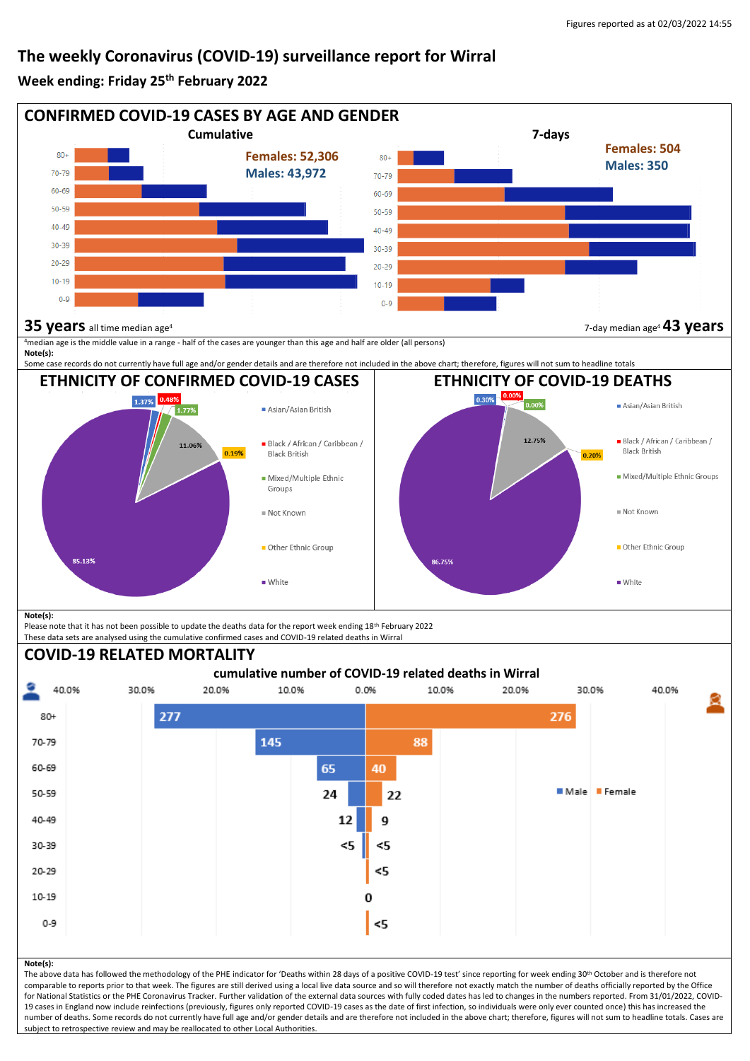## **The weekly Coronavirus (COVID-19) surveillance report for Wirral**

#### **Week ending: Friday 25th February 2022**



19 cases in England now include reinfections (previously, figures only reported COVID-19 cases as the date of first infection, so individuals were only ever counted once) this has increased the number of deaths. Some records do not currently have full age and/or gender details and are therefore not included in the above chart; therefore, figures will not sum to headline totals. Cases are subject to retrospective review and may be reallocated to other Local Authorities.